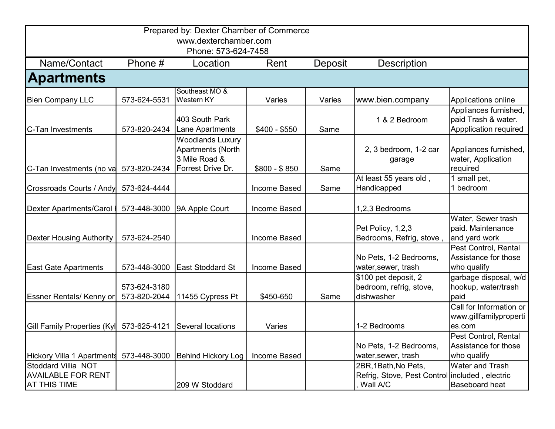| Prepared by: Dexter Chamber of Commerce |              |                              |               |         |                                                |                         |  |  |
|-----------------------------------------|--------------|------------------------------|---------------|---------|------------------------------------------------|-------------------------|--|--|
| www.dexterchamber.com                   |              |                              |               |         |                                                |                         |  |  |
| Phone: 573-624-7458                     |              |                              |               |         |                                                |                         |  |  |
| Name/Contact                            | Phone #      | Location                     | Rent          | Deposit | <b>Description</b>                             |                         |  |  |
| <b>Apartments</b>                       |              |                              |               |         |                                                |                         |  |  |
| <b>Bien Company LLC</b>                 | 573-624-5531 | Southeast MO &<br>Western KY | Varies        | Varies  | www.bien.company                               | Applications online     |  |  |
|                                         |              |                              |               |         |                                                | Appliances furnished,   |  |  |
|                                         |              | 403 South Park               |               |         | 1 & 2 Bedroom                                  | paid Trash & water.     |  |  |
| C-Tan Investments                       | 573-820-2434 | Lane Apartments              | $$400 - $550$ | Same    |                                                | Appplication required   |  |  |
|                                         |              | <b>Woodlands Luxury</b>      |               |         |                                                |                         |  |  |
|                                         |              | Apartments (North            |               |         | 2, 3 bedroom, 1-2 car                          | Appliances furnished,   |  |  |
|                                         |              | 3 Mile Road &                |               |         | garage                                         | water, Application      |  |  |
| C-Tan Investments (no va                | 573-820-2434 | Forrest Drive Dr.            | $$800 - $850$ | Same    |                                                | required                |  |  |
|                                         |              |                              |               |         | At least 55 years old,                         | 1 small pet,            |  |  |
| Crossroads Courts / Andy                | 573-624-4444 |                              | Income Based  | Same    | Handicapped                                    | 1 bedroom               |  |  |
|                                         |              |                              |               |         |                                                |                         |  |  |
| <b>Dexter Apartments/Carol</b>          | 573-448-3000 | 9A Apple Court               | Income Based  |         | 1,2,3 Bedrooms                                 |                         |  |  |
|                                         |              |                              |               |         |                                                | Water, Sewer trash      |  |  |
|                                         |              |                              |               |         | Pet Policy, 1,2,3                              | paid. Maintenance       |  |  |
| <b>Dexter Housing Authority</b>         | 573-624-2540 |                              | Income Based  |         | Bedrooms, Refrig, stove,                       | and yard work           |  |  |
|                                         |              |                              |               |         |                                                | Pest Control, Rental    |  |  |
|                                         |              |                              |               |         | No Pets, 1-2 Bedrooms,                         | Assistance for those    |  |  |
| <b>East Gate Apartments</b>             | 573-448-3000 | <b>East Stoddard St</b>      | Income Based  |         | water, sewer, trash                            | who qualify             |  |  |
|                                         |              |                              |               |         | \$100 pet deposit, 2                           | garbage disposal, w/d   |  |  |
|                                         | 573-624-3180 |                              |               |         | bedroom, refrig, stove,                        | hookup, water/trash     |  |  |
| <b>Essner Rentals/ Kenny or</b>         | 573-820-2044 | 11455 Cypress Pt             | \$450-650     | Same    | dishwasher                                     | paid                    |  |  |
|                                         |              |                              |               |         |                                                | Call for Information or |  |  |
|                                         |              |                              |               |         |                                                | www.gillfamilyproperti  |  |  |
| Gill Family Properties (Kyl             | 573-625-4121 | Several locations            | Varies        |         | 1-2 Bedrooms                                   | es.com                  |  |  |
|                                         |              |                              |               |         |                                                | Pest Control, Rental    |  |  |
|                                         |              |                              |               |         | No Pets, 1-2 Bedrooms,                         | Assistance for those    |  |  |
| Hickory Villa 1 Apartments              | 573-448-3000 | <b>Behind Hickory Log</b>    | Income Based  |         | water, sewer, trash                            | who qualify             |  |  |
| Stoddard Villia NOT                     |              |                              |               |         | 2BR, 1Bath, No Pets,                           | <b>Water and Trash</b>  |  |  |
| <b>AVAILABLE FOR RENT</b>               |              |                              |               |         | Refrig, Stove, Pest Control included, electric |                         |  |  |
| <b>AT THIS TIME</b>                     |              | 209 W Stoddard               |               |         | Wall A/C                                       | <b>Baseboard heat</b>   |  |  |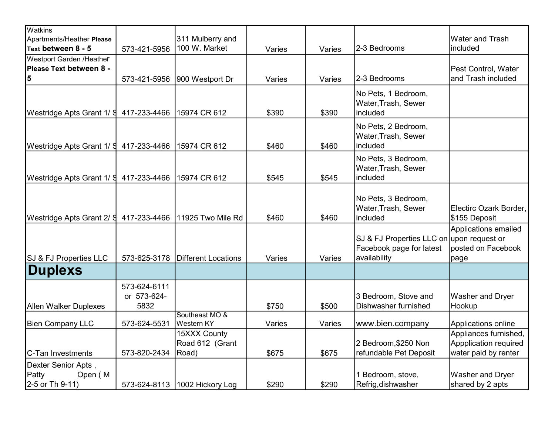| Watkins                                                    |                                     |                                          |        |        |                                                                                       |                                                                        |
|------------------------------------------------------------|-------------------------------------|------------------------------------------|--------|--------|---------------------------------------------------------------------------------------|------------------------------------------------------------------------|
| Apartments/Heather Please                                  |                                     | 311 Mulberry and                         |        |        |                                                                                       | <b>Water and Trash</b>                                                 |
| Text between 8 - 5                                         | 573-421-5956                        | 100 W. Market                            | Varies | Varies | 2-3 Bedrooms                                                                          | included                                                               |
| <b>Westport Garden /Heather</b>                            |                                     |                                          |        |        |                                                                                       |                                                                        |
| Please Text between 8 -                                    |                                     |                                          |        |        |                                                                                       | Pest Control, Water                                                    |
| 5                                                          | 573-421-5956                        | 900 Westport Dr                          | Varies | Varies | 2-3 Bedrooms                                                                          | and Trash included                                                     |
| Westridge Apts Grant 1/ S                                  | 417-233-4466                        | 15974 CR 612                             | \$390  | \$390  | No Pets, 1 Bedroom,<br>Water, Trash, Sewer<br>included                                |                                                                        |
| Westridge Apts Grant 1/ S                                  | 417-233-4466                        | 15974 CR 612                             | \$460  | \$460  | No Pets, 2 Bedroom,<br>Water, Trash, Sewer<br>included                                |                                                                        |
| Westridge Apts Grant 1/ S                                  | 417-233-4466                        | 15974 CR 612                             | \$545  | \$545  | No Pets, 3 Bedroom,<br>Water, Trash, Sewer<br>included                                |                                                                        |
| Westridge Apts Grant 2/ § 417-233-4466   11925 Two Mile Rd |                                     |                                          | \$460  | \$460  | No Pets, 3 Bedroom,<br>Water, Trash, Sewer<br>included                                | Electirc Ozark Border,<br>\$155 Deposit                                |
| SJ & FJ Properties LLC                                     | 573-625-3178                        | <b>Different Locations</b>               | Varies | Varies | SJ & FJ Properties LLC on upon request or<br>Facebook page for latest<br>availability | Applications emailed<br>posted on Facebook<br>page                     |
| <b>Duplexs</b>                                             |                                     |                                          |        |        |                                                                                       |                                                                        |
| <b>Allen Walker Duplexes</b>                               | 573-624-6111<br>or 573-624-<br>5832 |                                          | \$750  | \$500  | 3 Bedroom, Stove and<br>Dishwasher furnished                                          | <b>Washer and Dryer</b><br>Hookup                                      |
| <b>Bien Company LLC</b>                                    | 573-624-5531                        | Southeast MO &<br>Western KY             | Varies | Varies | www.bien.company                                                                      | Applications online                                                    |
| C-Tan Investments                                          | 573-820-2434                        | 15XXX County<br>Road 612 (Grant<br>Road) | \$675  | \$675  | 2 Bedroom, \$250 Non<br>refundable Pet Deposit                                        | Appliances furnished,<br>Appplication required<br>water paid by renter |
| Dexter Senior Apts,<br>Patty<br>Open (M<br>2-5 or Th 9-11) |                                     | 573-624-8113   1002 Hickory Log          | \$290  | \$290  | 1 Bedroom, stove,<br>Refrig, dishwasher                                               | <b>Washer and Dryer</b><br>shared by 2 apts                            |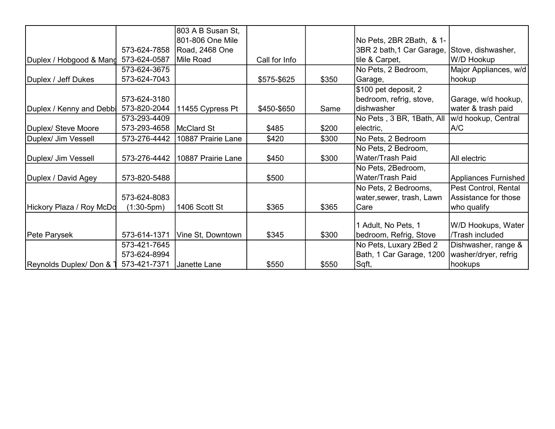|                          |              | 803 A B Susan St,  |               |       |                                                   |                                              |
|--------------------------|--------------|--------------------|---------------|-------|---------------------------------------------------|----------------------------------------------|
|                          |              | 801-806 One Mile   |               |       | No Pets, 2BR 2Bath, & 1-                          |                                              |
|                          | 573-624-7858 | Road, 2468 One     |               |       | 3BR 2 bath, 1 Car Garage,                         | Stove, dishwasher,                           |
| Duplex / Hobgood & Mand  | 573-624-0587 | Mile Road          | Call for Info |       | tile & Carpet,                                    | W/D Hookup                                   |
|                          | 573-624-3675 |                    |               |       | No Pets, 2 Bedroom,                               | Major Appliances, w/d                        |
| Duplex / Jeff Dukes      | 573-624-7043 |                    | \$575-\$625   | \$350 | Garage,                                           | hookup                                       |
|                          | 573-624-3180 |                    |               |       | \$100 pet deposit, 2<br>bedroom, refrig, stove,   | Garage, w/d hookup,                          |
| Duplex / Kenny and Debbi | 573-820-2044 | 11455 Cypress Pt   | \$450-\$650   | Same  | dishwasher                                        | water & trash paid                           |
|                          | 573-293-4409 |                    |               |       | No Pets, 3 BR, 1Bath, All                         | w/d hookup, Central                          |
| Duplex/ Steve Moore      | 573-293-4658 | McClard St         | \$485         | \$200 | electric,                                         | A/C                                          |
| Duplex/ Jim Vessell      | 573-276-4442 | 10887 Prairie Lane | \$420         | \$300 | No Pets, 2 Bedroom                                |                                              |
|                          |              |                    |               |       | No Pets, 2 Bedroom,                               |                                              |
| Duplex/ Jim Vessell      | 573-276-4442 | 10887 Prairie Lane | \$450         | \$300 | Water/Trash Paid                                  | All electric                                 |
|                          |              |                    |               |       | No Pets, 2Bedroom,                                |                                              |
| Duplex / David Agey      | 573-820-5488 |                    | \$500         |       | Water/Trash Paid                                  | Appliances Furnished                         |
|                          | 573-624-8083 |                    |               |       | No Pets, 2 Bedrooms,<br>water, sewer, trash, Lawn | Pest Control, Rental<br>Assistance for those |
| Hickory Plaza / Roy McDd | $(1:30-5pm)$ | 1406 Scott St      | \$365         | \$365 | Care                                              | who qualify                                  |
|                          |              |                    |               |       | 1 Adult, No Pets, 1                               | W/D Hookups, Water                           |
| Pete Parysek             | 573-614-1371 | Vine St, Downtown  | \$345         | \$300 | bedroom, Refrig, Stove                            | /Trash included                              |
|                          | 573-421-7645 |                    |               |       | No Pets, Luxary 2Bed 2                            | Dishwasher, range &                          |
|                          | 573-624-8994 |                    |               |       | Bath, 1 Car Garage, 1200                          | washer/dryer, refrig                         |
| Reynolds Duplex/ Don &   | 573-421-7371 | Janette Lane       | \$550         | \$550 | Sqft,                                             | hookups                                      |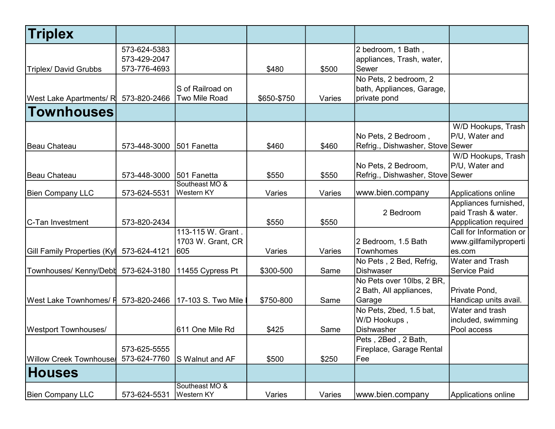| <b>Triplex</b>                 |              |                      |             |        |                                  |                         |
|--------------------------------|--------------|----------------------|-------------|--------|----------------------------------|-------------------------|
|                                | 573-624-5383 |                      |             |        | 2 bedroom, 1 Bath,               |                         |
|                                | 573-429-2047 |                      |             |        | appliances, Trash, water,        |                         |
| <b>Triplex/ David Grubbs</b>   | 573-776-4693 |                      | \$480       | \$500  | Sewer                            |                         |
|                                |              |                      |             |        | No Pets, 2 bedroom, 2            |                         |
|                                |              | S of Railroad on     |             |        | bath, Appliances, Garage,        |                         |
| West Lake Apartments/ R        | 573-820-2466 | <b>Two Mile Road</b> | \$650-\$750 | Varies | private pond                     |                         |
| Townhouses                     |              |                      |             |        |                                  |                         |
|                                |              |                      |             |        |                                  | W/D Hookups, Trash      |
|                                |              |                      |             |        | No Pets, 2 Bedroom,              | P/U, Water and          |
| Beau Chateau                   | 573-448-3000 | 501 Fanetta          | \$460       | \$460  | Refrig., Dishwasher, Stove Sewer |                         |
|                                |              |                      |             |        |                                  | W/D Hookups, Trash      |
|                                |              |                      |             |        | No Pets, 2 Bedroom,              | P/U, Water and          |
| Beau Chateau                   | 573-448-3000 | 501 Fanetta          | \$550       | \$550  | Refrig., Dishwasher, Stove Sewer |                         |
|                                |              | Southeast MO &       |             |        |                                  |                         |
| <b>Bien Company LLC</b>        | 573-624-5531 | Western KY           | Varies      | Varies | www.bien.company                 | Applications online     |
|                                |              |                      |             |        |                                  | Appliances furnished,   |
|                                |              |                      |             |        | 2 Bedroom                        | paid Trash & water.     |
| C-Tan Investment               | 573-820-2434 |                      | \$550       | \$550  |                                  | Appplication required   |
|                                |              | 113-115 W. Grant.    |             |        |                                  | Call for Information or |
|                                |              | 1703 W. Grant, CR    |             |        | 2 Bedroom, 1.5 Bath              | www.gillfamilyproperti  |
| Gill Family Properties (Kyl    | 573-624-4121 | 605                  | Varies      | Varies | <b>Townhomes</b>                 | es.com                  |
|                                |              |                      |             |        | No Pets, 2 Bed, Refrig,          | <b>Water and Trash</b>  |
| Townhouses/ Kenny/Debl         | 573-624-3180 | 11455 Cypress Pt     | \$300-500   | Same   | <b>Dishwaser</b>                 | <b>Service Paid</b>     |
|                                |              |                      |             |        | No Pets over 10lbs, 2 BR,        |                         |
|                                |              |                      |             |        | 2 Bath, All appliances,          | Private Pond,           |
| West Lake Townhomes/ F         | 573-820-2466 | 17-103 S. Two Mile   | \$750-800   | Same   | Garage                           | Handicap units avail.   |
|                                |              |                      |             |        | No Pets, 2bed, 1.5 bat,          | Water and trash         |
|                                |              |                      |             |        | W/D Hookups,                     | included, swimming      |
| <b>Westport Townhouses/</b>    |              | 611 One Mile Rd      | \$425       | Same   | Dishwasher                       | Pool access             |
|                                |              |                      |             |        | Pets, 2Bed, 2 Bath,              |                         |
|                                | 573-625-5555 |                      |             |        | Fireplace, Garage Rental         |                         |
| <b>Willow Creek Townhousel</b> | 573-624-7760 | S Walnut and AF      | \$500       | \$250  | Fee                              |                         |
| <b>Houses</b>                  |              |                      |             |        |                                  |                         |
|                                |              | Southeast MO &       |             |        |                                  |                         |
| <b>Bien Company LLC</b>        | 573-624-5531 | Western KY           | Varies      | Varies | www.bien.company                 | Applications online     |